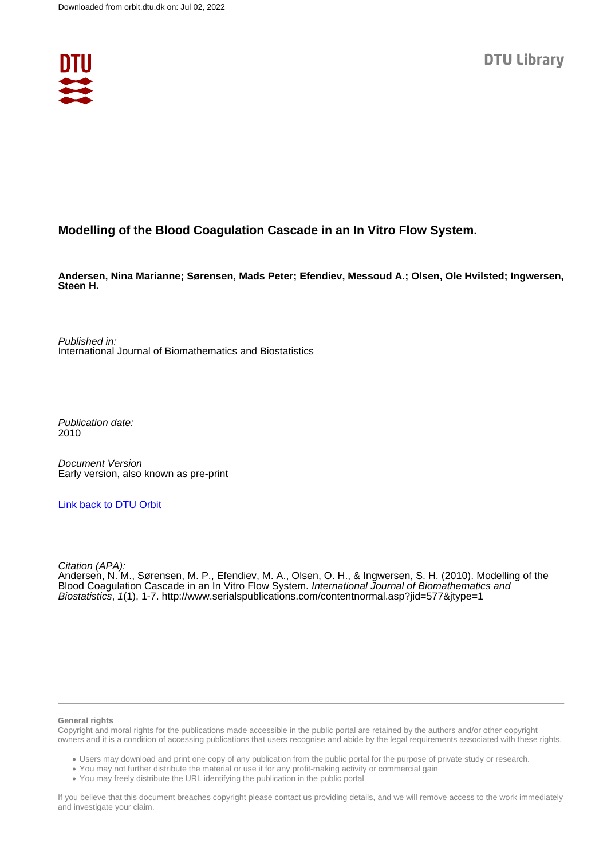

# **Modelling of the Blood Coagulation Cascade in an In Vitro Flow System.**

**Andersen, Nina Marianne; Sørensen, Mads Peter; Efendiev, Messoud A.; Olsen, Ole Hvilsted; Ingwersen, Steen H.**

Published in: International Journal of Biomathematics and Biostatistics

Publication date: 2010

Document Version Early version, also known as pre-print

[Link back to DTU Orbit](https://orbit.dtu.dk/en/publications/7d722b44-9363-406c-a366-51fd1426ff7c)

Citation (APA):

Andersen, N. M., Sørensen, M. P., Efendiev, M. A., Olsen, O. H., & Ingwersen, S. H. (2010). Modelling of the Blood Coagulation Cascade in an In Vitro Flow System. International Journal of Biomathematics and Biostatistics, 1(1), 1-7. <http://www.serialspublications.com/contentnormal.asp?jid=577&jtype=1>

#### **General rights**

Copyright and moral rights for the publications made accessible in the public portal are retained by the authors and/or other copyright owners and it is a condition of accessing publications that users recognise and abide by the legal requirements associated with these rights.

Users may download and print one copy of any publication from the public portal for the purpose of private study or research.

- You may not further distribute the material or use it for any profit-making activity or commercial gain
- You may freely distribute the URL identifying the publication in the public portal

If you believe that this document breaches copyright please contact us providing details, and we will remove access to the work immediately and investigate your claim.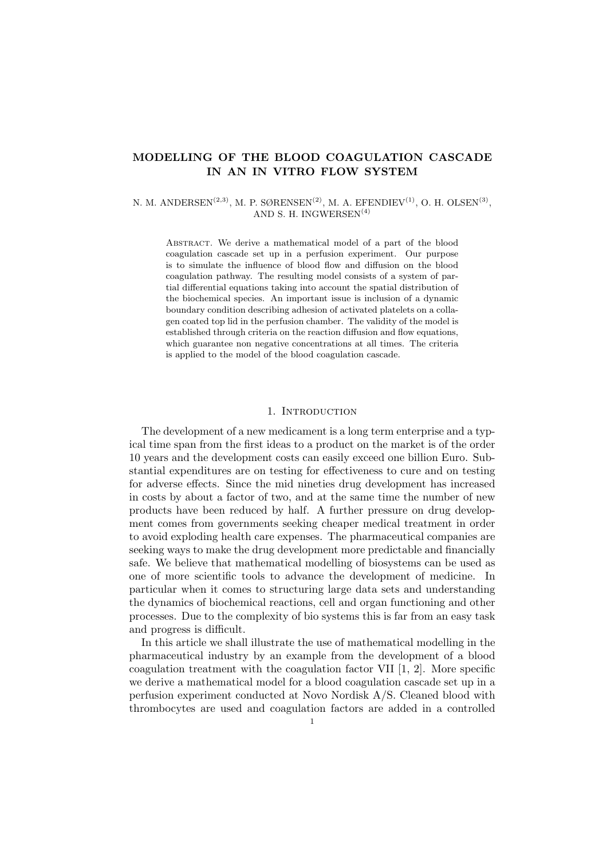## MODELLING OF THE BLOOD COAGULATION CASCADE IN AN IN VITRO FLOW SYSTEM

### N. M. ANDERSEN<sup>(2,3)</sup>, M. P. SØRENSEN<sup>(2)</sup>, M. A. EFENDIEV<sup>(1)</sup>, O. H. OLSEN<sup>(3)</sup>, AND S. H. INGWERSEN<sup>(4)</sup>

Abstract. We derive a mathematical model of a part of the blood coagulation cascade set up in a perfusion experiment. Our purpose is to simulate the influence of blood flow and diffusion on the blood coagulation pathway. The resulting model consists of a system of partial differential equations taking into account the spatial distribution of the biochemical species. An important issue is inclusion of a dynamic boundary condition describing adhesion of activated platelets on a collagen coated top lid in the perfusion chamber. The validity of the model is established through criteria on the reaction diffusion and flow equations, which guarantee non negative concentrations at all times. The criteria is applied to the model of the blood coagulation cascade.

#### 1. INTRODUCTION

The development of a new medicament is a long term enterprise and a typical time span from the first ideas to a product on the market is of the order 10 years and the development costs can easily exceed one billion Euro. Substantial expenditures are on testing for effectiveness to cure and on testing for adverse effects. Since the mid nineties drug development has increased in costs by about a factor of two, and at the same time the number of new products have been reduced by half. A further pressure on drug development comes from governments seeking cheaper medical treatment in order to avoid exploding health care expenses. The pharmaceutical companies are seeking ways to make the drug development more predictable and financially safe. We believe that mathematical modelling of biosystems can be used as one of more scientific tools to advance the development of medicine. In particular when it comes to structuring large data sets and understanding the dynamics of biochemical reactions, cell and organ functioning and other processes. Due to the complexity of bio systems this is far from an easy task and progress is difficult.

In this article we shall illustrate the use of mathematical modelling in the pharmaceutical industry by an example from the development of a blood coagulation treatment with the coagulation factor VII [1, 2]. More specific we derive a mathematical model for a blood coagulation cascade set up in a perfusion experiment conducted at Novo Nordisk A/S. Cleaned blood with thrombocytes are used and coagulation factors are added in a controlled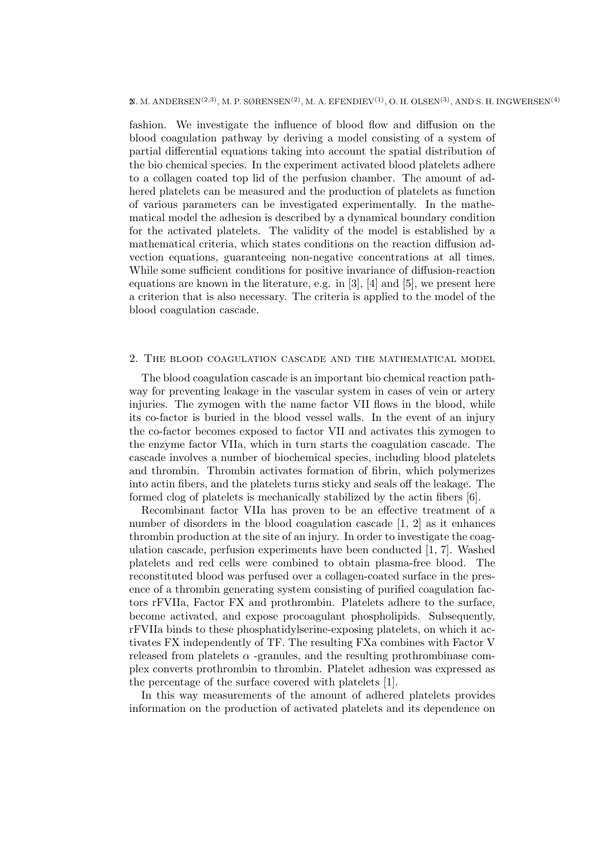$\mathbb{X}$ . M. ANDERSEN<sup>(2,3)</sup>, M. P. SØRENSEN<sup>(2)</sup>, M. A. EFENDIEV<sup>(1)</sup>, O. H. OLSEN<sup>(3)</sup>, AND S. H. INGWERSEN<sup>(4)</sup>

fashion. We investigate the influence of blood flow and diffusion on the blood coagulation pathway by deriving a model consisting of a system of partial differential equations taking into account the spatial distribution of the bio chemical species. In the experiment activated blood platelets adhere to a collagen coated top lid of the perfusion chamber. The amount of adhered platelets can be measured and the production of platelets as function of various parameters can be investigated experimentally. In the mathematical model the adhesion is described by a dynamical boundary condition for the activated platelets. The validity of the model is established by a mathematical criteria, which states conditions on the reaction diffusion advection equations, guaranteeing non-negative concentrations at all times. While some sufficient conditions for positive invariance of diffusion-reaction equations are known in the literature, e.g. in [3], [4] and [5], we present here a criterion that is also necessary. The criteria is applied to the model of the blood coagulation cascade.

### 2. The blood coagulation cascade and the mathematical model

The blood coagulation cascade is an important bio chemical reaction pathway for preventing leakage in the vascular system in cases of vein or artery injuries. The zymogen with the name factor VII flows in the blood, while its co-factor is buried in the blood vessel walls. In the event of an injury the co-factor becomes exposed to factor VII and activates this zymogen to the enzyme factor VIIa, which in turn starts the coagulation cascade. The cascade involves a number of biochemical species, including blood platelets and thrombin. Thrombin activates formation of fibrin, which polymerizes into actin fibers, and the platelets turns sticky and seals off the leakage. The formed clog of platelets is mechanically stabilized by the actin fibers [6].

Recombinant factor VIIa has proven to be an effective treatment of a number of disorders in the blood coagulation cascade [1, 2] as it enhances thrombin production at the site of an injury. In order to investigate the coagulation cascade, perfusion experiments have been conducted [1, 7]. Washed platelets and red cells were combined to obtain plasma-free blood. The reconstituted blood was perfused over a collagen-coated surface in the presence of a thrombin generating system consisting of purified coagulation factors rFVIIa, Factor FX and prothrombin. Platelets adhere to the surface, become activated, and expose procoagulant phospholipids. Subsequently, rFVIIa binds to these phosphatidylserine-exposing platelets, on which it activates FX independently of TF. The resulting FXa combines with Factor V released from platelets  $\alpha$  -granules, and the resulting prothrombinase complex converts prothrombin to thrombin. Platelet adhesion was expressed as the percentage of the surface covered with platelets [1].

In this way measurements of the amount of adhered platelets provides information on the production of activated platelets and its dependence on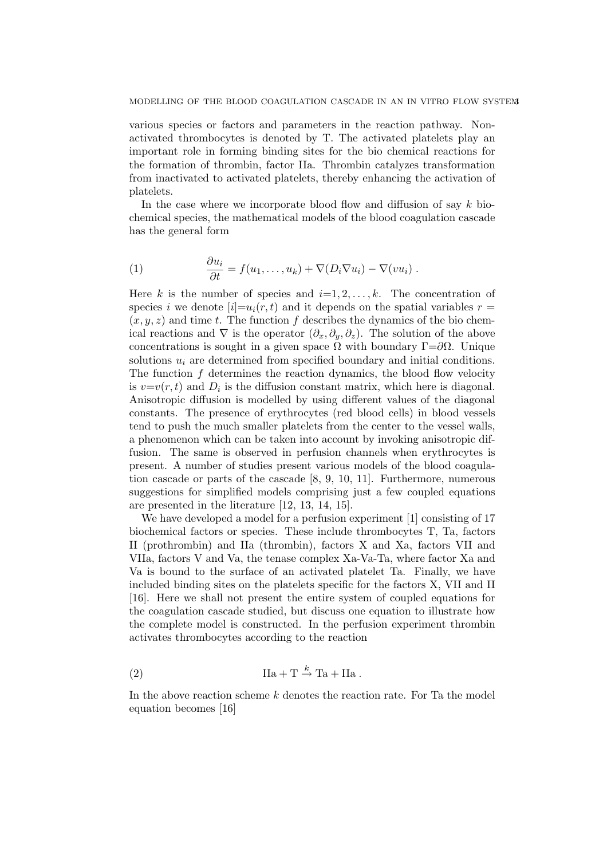various species or factors and parameters in the reaction pathway. Nonactivated thrombocytes is denoted by T. The activated platelets play an important role in forming binding sites for the bio chemical reactions for the formation of thrombin, factor IIa. Thrombin catalyzes transformation from inactivated to activated platelets, thereby enhancing the activation of platelets.

In the case where we incorporate blood flow and diffusion of say  $k$  biochemical species, the mathematical models of the blood coagulation cascade has the general form

(1) 
$$
\frac{\partial u_i}{\partial t} = f(u_1, \dots, u_k) + \nabla(D_i \nabla u_i) - \nabla(v u_i) .
$$

Here k is the number of species and  $i=1, 2, \ldots, k$ . The concentration of species i we denote  $[i]=u_i(r,t)$  and it depends on the spatial variables  $r=$  $(x, y, z)$  and time t. The function f describes the dynamics of the bio chemical reactions and  $\nabla$  is the operator  $(\partial_x, \partial_y, \partial_z)$ . The solution of the above concentrations is sought in a given space  $\Omega$  with boundary  $\Gamma = \partial \Omega$ . Unique solutions  $u_i$  are determined from specified boundary and initial conditions. The function  $f$  determines the reaction dynamics, the blood flow velocity is  $v=v(r, t)$  and  $D_i$  is the diffusion constant matrix, which here is diagonal. Anisotropic diffusion is modelled by using different values of the diagonal constants. The presence of erythrocytes (red blood cells) in blood vessels tend to push the much smaller platelets from the center to the vessel walls, a phenomenon which can be taken into account by invoking anisotropic diffusion. The same is observed in perfusion channels when erythrocytes is present. A number of studies present various models of the blood coagulation cascade or parts of the cascade [8, 9, 10, 11]. Furthermore, numerous suggestions for simplified models comprising just a few coupled equations are presented in the literature [12, 13, 14, 15].

We have developed a model for a perfusion experiment [1] consisting of 17 biochemical factors or species. These include thrombocytes T, Ta, factors II (prothrombin) and IIa (thrombin), factors X and Xa, factors VII and VIIa, factors V and Va, the tenase complex Xa-Va-Ta, where factor Xa and Va is bound to the surface of an activated platelet Ta. Finally, we have included binding sites on the platelets specific for the factors X, VII and II [16]. Here we shall not present the entire system of coupled equations for the coagulation cascade studied, but discuss one equation to illustrate how the complete model is constructed. In the perfusion experiment thrombin activates thrombocytes according to the reaction

(2) 
$$
\text{IIa} + \text{T} \stackrel{k}{\rightarrow} \text{Ta} + \text{IIa} \ .
$$

In the above reaction scheme k denotes the reaction rate. For Ta the model equation becomes [16]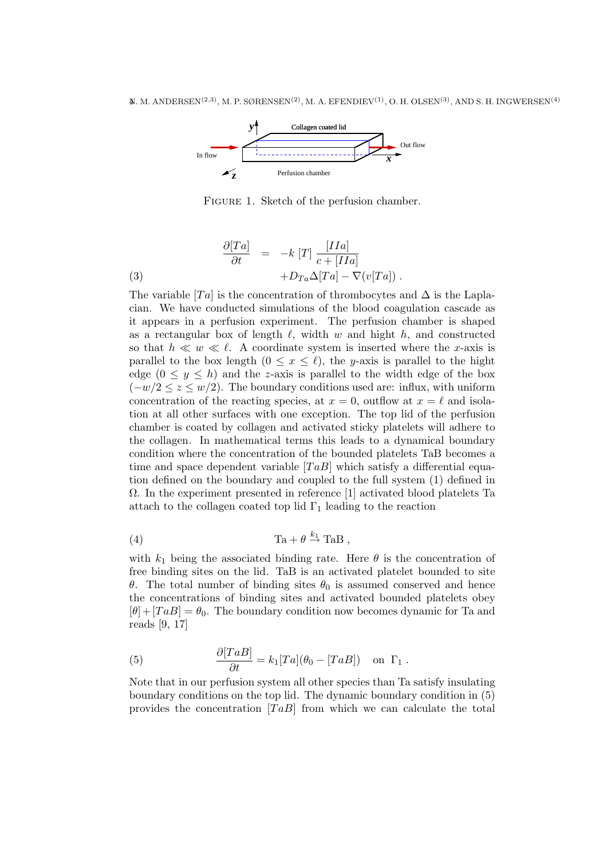

FIGURE 1. Sketch of the perfusion chamber.

(3) 
$$
\frac{\partial [Ta]}{\partial t} = -k [T] \frac{[IIa]}{c + [IIa]} + D_{Ta}\Delta[Ta] - \nabla(v[Ta]).
$$

The variable [Ta] is the concentration of thrombocytes and  $\Delta$  is the Laplacian. We have conducted simulations of the blood coagulation cascade as it appears in a perfusion experiment. The perfusion chamber is shaped as a rectangular box of length  $\ell$ , width w and hight h, and constructed so that  $h \ll w \ll \ell$ . A coordinate system is inserted where the x-axis is parallel to the box length  $(0 \le x \le \ell)$ , the y-axis is parallel to the hight edge  $(0 \le y \le h)$  and the z-axis is parallel to the width edge of the box  $(-w/2 \leq z \leq w/2)$ . The boundary conditions used are: influx, with uniform concentration of the reacting species, at  $x = 0$ , outflow at  $x = \ell$  and isolation at all other surfaces with one exception. The top lid of the perfusion chamber is coated by collagen and activated sticky platelets will adhere to the collagen. In mathematical terms this leads to a dynamical boundary condition where the concentration of the bounded platelets TaB becomes a time and space dependent variable  $[TaB]$  which satisfy a differential equation defined on the boundary and coupled to the full system (1) defined in  $\Omega$ . In the experiment presented in reference [1] activated blood platelets Ta attach to the collagen coated top lid  $\Gamma_1$  leading to the reaction

(4) 
$$
Ta + \theta \stackrel{k_1}{\rightarrow} Tab,
$$

with  $k_1$  being the associated binding rate. Here  $\theta$  is the concentration of free binding sites on the lid. TaB is an activated platelet bounded to site θ. The total number of binding sites  $θ_0$  is assumed conserved and hence the concentrations of binding sites and activated bounded platelets obey  $[\theta]+[TaB] = \theta_0$ . The boundary condition now becomes dynamic for Ta and reads [9, 17]

(5) 
$$
\frac{\partial [TaB]}{\partial t} = k_1 [Ta](\theta_0 - [TaB]) \text{ on } \Gamma_1.
$$

Note that in our perfusion system all other species than Ta satisfy insulating boundary conditions on the top lid. The dynamic boundary condition in (5) provides the concentration  $[TaB]$  from which we can calculate the total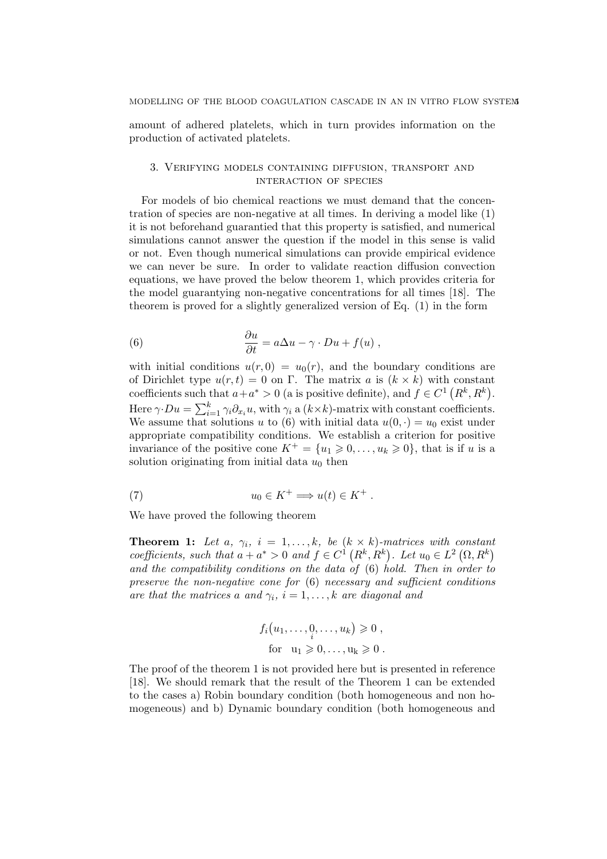amount of adhered platelets, which in turn provides information on the production of activated platelets.

## 3. Verifying models containing diffusion, transport and interaction of species

For models of bio chemical reactions we must demand that the concentration of species are non-negative at all times. In deriving a model like (1) it is not beforehand guarantied that this property is satisfied, and numerical simulations cannot answer the question if the model in this sense is valid or not. Even though numerical simulations can provide empirical evidence we can never be sure. In order to validate reaction diffusion convection equations, we have proved the below theorem 1, which provides criteria for the model guarantying non-negative concentrations for all times [18]. The theorem is proved for a slightly generalized version of Eq. (1) in the form

(6) 
$$
\frac{\partial u}{\partial t} = a\Delta u - \gamma \cdot Du + f(u) ,
$$

with initial conditions  $u(r, 0) = u_0(r)$ , and the boundary conditions are of Dirichlet type  $u(r,t) = 0$  on  $\Gamma$ . The matrix a is  $(k \times k)$  with constant coefficients such that  $a+a^* > 0$  (a is positive definite), and  $f \in C^1(R^k, R^k)$ . Here  $\gamma \cdot Du = \sum_{i=1}^{k}$  $\sum_{i=1}^k \gamma_i \partial_{x_i} u$ , with  $\gamma_i$  a  $(k \times k)$ -matrix with constant coefficients. We assume that solutions u to (6) with initial data  $u(0, \cdot) = u_0$  exist under appropriate compatibility conditions. We establish a criterion for positive invariance of the positive cone  $K^+ = \{u_1 \geq 0, \ldots, u_k \geq 0\}$ , that is if u is a solution originating from initial data  $u_0$  then

(7) 
$$
u_0 \in K^+ \Longrightarrow u(t) \in K^+ .
$$

We have proved the following theorem

**Theorem 1:** Let a,  $\gamma_i$ ,  $i = 1, ..., k$ , be  $(k \times k)$ -matrices with constant coefficients, such that  $a + a^* > 0$  and  $f \in C^1(R^k, R^k)$ . Let  $u_0 \in L^2(\Omega, R^k)$ and the compatibility conditions on the data of (6) hold. Then in order to preserve the non-negative cone for (6) necessary and sufficient conditions are that the matrices a and  $\gamma_i$ ,  $i = 1, \ldots, k$  are diagonal and

$$
f_i(u_1,\ldots,\underset{i}{0},\ldots,u_k) \geq 0,
$$
  
for  $u_1 \geq 0,\ldots,u_k \geq 0.$ 

The proof of the theorem 1 is not provided here but is presented in reference [18]. We should remark that the result of the Theorem 1 can be extended to the cases a) Robin boundary condition (both homogeneous and non homogeneous) and b) Dynamic boundary condition (both homogeneous and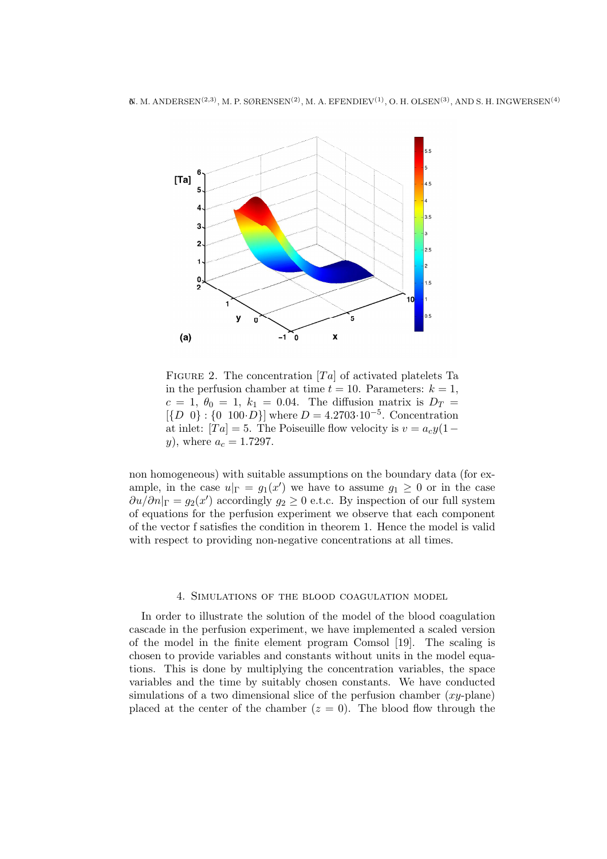

FIGURE 2. The concentration  $T_a$  of activated platelets Ta in the perfusion chamber at time  $t = 10$ . Parameters:  $k = 1$ ,  $c = 1, \ \theta_0 = 1, \ k_1 = 0.04.$  The diffusion matrix is  $D_T =$  $\{D \ 0\}$ :  $\{0\ 100 \cdot D\}$  where  $D = 4.2703 \cdot 10^{-5}$ . Concentration at inlet:  $|Ta| = 5$ . The Poiseuille flow velocity is  $v = a_c y(1-\alpha)$ y), where  $a_c = 1.7297$ .

non homogeneous) with suitable assumptions on the boundary data (for example, in the case  $u|_{\Gamma} = g_1(x')$  we have to assume  $g_1 \geq 0$  or in the case  $\partial u/\partial n|_{\Gamma} = g_2(x')$  accordingly  $g_2 \geq 0$  e.t.c. By inspection of our full system of equations for the perfusion experiment we observe that each component of the vector f satisfies the condition in theorem 1. Hence the model is valid with respect to providing non-negative concentrations at all times.

### 4. Simulations of the blood coagulation model

In order to illustrate the solution of the model of the blood coagulation cascade in the perfusion experiment, we have implemented a scaled version of the model in the finite element program Comsol [19]. The scaling is chosen to provide variables and constants without units in the model equations. This is done by multiplying the concentration variables, the space variables and the time by suitably chosen constants. We have conducted simulations of a two dimensional slice of the perfusion chamber  $(xy\text{-plane})$ placed at the center of the chamber  $(z = 0)$ . The blood flow through the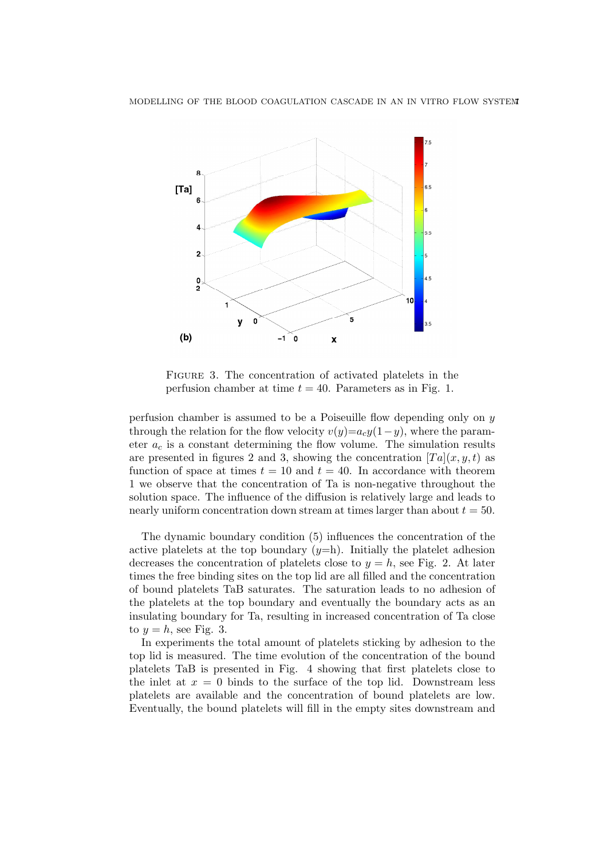

FIGURE 3. The concentration of activated platelets in the perfusion chamber at time  $t = 40$ . Parameters as in Fig. 1.

perfusion chamber is assumed to be a Poiseuille flow depending only on y through the relation for the flow velocity  $v(y)=a_cy(1-y)$ , where the parameter  $a_c$  is a constant determining the flow volume. The simulation results are presented in figures 2 and 3, showing the concentration  $[Ta](x, y, t)$  as function of space at times  $t = 10$  and  $t = 40$ . In accordance with theorem 1 we observe that the concentration of Ta is non-negative throughout the solution space. The influence of the diffusion is relatively large and leads to nearly uniform concentration down stream at times larger than about  $t = 50$ .

The dynamic boundary condition (5) influences the concentration of the active platelets at the top boundary  $(y=h)$ . Initially the platelet adhesion decreases the concentration of platelets close to  $y = h$ , see Fig. 2. At later times the free binding sites on the top lid are all filled and the concentration of bound platelets TaB saturates. The saturation leads to no adhesion of the platelets at the top boundary and eventually the boundary acts as an insulating boundary for Ta, resulting in increased concentration of Ta close to  $y = h$ , see Fig. 3.

In experiments the total amount of platelets sticking by adhesion to the top lid is measured. The time evolution of the concentration of the bound platelets TaB is presented in Fig. 4 showing that first platelets close to the inlet at  $x = 0$  binds to the surface of the top lid. Downstream less platelets are available and the concentration of bound platelets are low. Eventually, the bound platelets will fill in the empty sites downstream and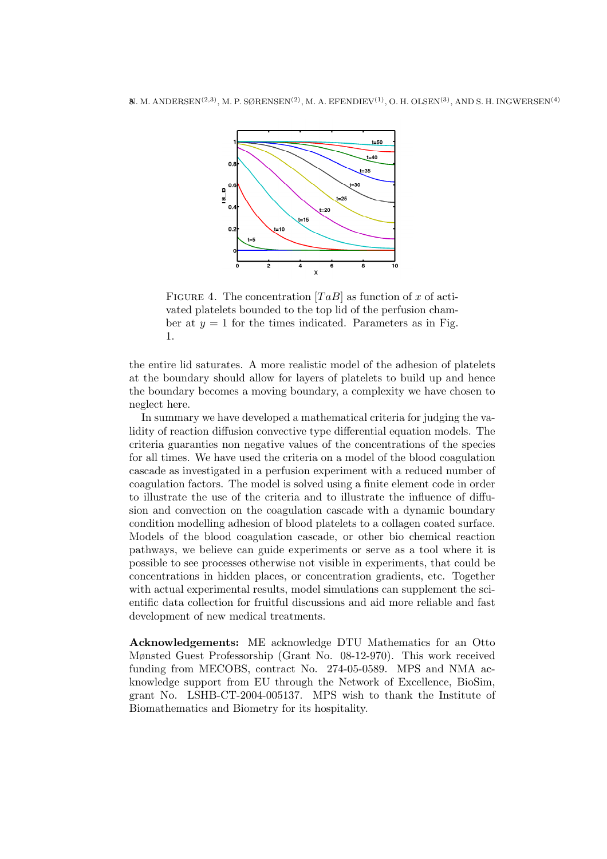

FIGURE 4. The concentration  $[TaB]$  as function of x of activated platelets bounded to the top lid of the perfusion chamber at  $y = 1$  for the times indicated. Parameters as in Fig. 1.

the entire lid saturates. A more realistic model of the adhesion of platelets at the boundary should allow for layers of platelets to build up and hence the boundary becomes a moving boundary, a complexity we have chosen to neglect here.

In summary we have developed a mathematical criteria for judging the validity of reaction diffusion convective type differential equation models. The criteria guaranties non negative values of the concentrations of the species for all times. We have used the criteria on a model of the blood coagulation cascade as investigated in a perfusion experiment with a reduced number of coagulation factors. The model is solved using a finite element code in order to illustrate the use of the criteria and to illustrate the influence of diffusion and convection on the coagulation cascade with a dynamic boundary condition modelling adhesion of blood platelets to a collagen coated surface. Models of the blood coagulation cascade, or other bio chemical reaction pathways, we believe can guide experiments or serve as a tool where it is possible to see processes otherwise not visible in experiments, that could be concentrations in hidden places, or concentration gradients, etc. Together with actual experimental results, model simulations can supplement the scientific data collection for fruitful discussions and aid more reliable and fast development of new medical treatments.

Acknowledgements: ME acknowledge DTU Mathematics for an Otto Mønsted Guest Professorship (Grant No. 08-12-970). This work received funding from MECOBS, contract No. 274-05-0589. MPS and NMA acknowledge support from EU through the Network of Excellence, BioSim, grant No. LSHB-CT-2004-005137. MPS wish to thank the Institute of Biomathematics and Biometry for its hospitality.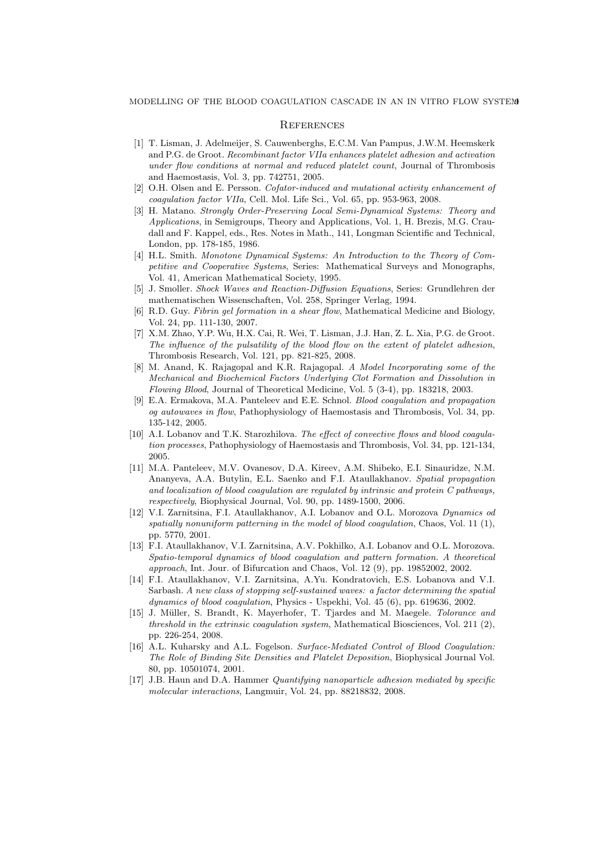#### **REFERENCES**

- [1] T. Lisman, J. Adelmeijer, S. Cauwenberghs, E.C.M. Van Pampus, J.W.M. Heemskerk and P.G. de Groot. Recombinant factor VIIa enhances platelet adhesion and activation under flow conditions at normal and reduced platelet count, Journal of Thrombosis and Haemostasis, Vol. 3, pp. 742751, 2005.
- [2] O.H. Olsen and E. Persson. Cofator-induced and mutational activity enhancement of coagulation factor VIIa, Cell. Mol. Life Sci., Vol. 65, pp. 953-963, 2008.
- [3] H. Matano. Strongly Order-Preserving Local Semi-Dynamical Systems: Theory and Applications, in Semigroups, Theory and Applications, Vol. 1, H. Brezis, M.G. Craudall and F. Kappel, eds., Res. Notes in Math., 141, Longman Scientific and Technical, London, pp. 178-185, 1986.
- [4] H.L. Smith. Monotone Dynamical Systems: An Introduction to the Theory of Competitive and Cooperative Systems, Series: Mathematical Surveys and Monographs, Vol. 41, American Mathematical Society, 1995.
- [5] J. Smoller. Shock Waves and Reaction-Diffusion Equations, Series: Grundlehren der mathematischen Wissenschaften, Vol. 258, Springer Verlag, 1994.
- [6] R.D. Guy. Fibrin gel formation in a shear flow, Mathematical Medicine and Biology, Vol. 24, pp. 111-130, 2007.
- [7] X.M. Zhao, Y.P. Wu, H.X. Cai, R. Wei, T. Lisman, J.J. Han, Z. L. Xia, P.G. de Groot. The influence of the pulsatility of the blood flow on the extent of platelet adhesion, Thrombosis Research, Vol. 121, pp. 821-825, 2008.
- [8] M. Anand, K. Rajagopal and K.R. Rajagopal. A Model Incorporating some of the Mechanical and Biochemical Factors Underlying Clot Formation and Dissolution in Flowing Blood, Journal of Theoretical Medicine, Vol. 5 (3-4), pp. 183218, 2003.
- [9] E.A. Ermakova, M.A. Panteleev and E.E. Schnol. Blood coagulation and propagation og autowaves in flow, Pathophysiology of Haemostasis and Thrombosis, Vol. 34, pp. 135-142, 2005.
- [10] A.I. Lobanov and T.K. Starozhilova. The effect of convective flows and blood coagulation processes, Pathophysiology of Haemostasis and Thrombosis, Vol. 34, pp. 121-134, 2005.
- [11] M.A. Panteleev, M.V. Ovanesov, D.A. Kireev, A.M. Shibeko, E.I. Sinauridze, N.M. Ananyeva, A.A. Butylin, E.L. Saenko and F.I. Ataullakhanov. Spatial propagation and localization of blood coagulation are regulated by intrinsic and protein C pathways, respectively, Biophysical Journal, Vol. 90, pp. 1489-1500, 2006.
- [12] V.I. Zarnitsina, F.I. Ataullakhanov, A.I. Lobanov and O.L. Morozova Dynamics od spatially nonuniform patterning in the model of blood coagulation, Chaos, Vol. 11 (1), pp. 5770, 2001.
- [13] F.I. Ataullakhanov, V.I. Zarnitsina, A.V. Pokhilko, A.I. Lobanov and O.L. Morozova. Spatio-temporal dynamics of blood coagulation and pattern formation. A theoretical approach, Int. Jour. of Bifurcation and Chaos, Vol. 12 (9), pp. 19852002, 2002.
- [14] F.I. Ataullakhanov, V.I. Zarnitsina, A.Yu. Kondratovich, E.S. Lobanova and V.I. Sarbash. A new class of stopping self-sustained waves: a factor determining the spatial dynamics of blood coagulation, Physics - Uspekhi, Vol. 45 (6), pp. 619636, 2002.
- [15] J. Müller, S. Brandt, K. Mayerhofer, T. Tjardes and M. Maegele. *Tolorance and* threshold in the extrinsic coagulation system, Mathematical Biosciences, Vol. 211 $(2)$ , pp. 226-254, 2008.
- [16] A.L. Kuharsky and A.L. Fogelson. Surface-Mediated Control of Blood Coagulation: The Role of Binding Site Densities and Platelet Deposition, Biophysical Journal Vol. 80, pp. 10501074, 2001.
- [17] J.B. Haun and D.A. Hammer Quantifying nanoparticle adhesion mediated by specific molecular interactions, Langmuir, Vol. 24, pp. 88218832, 2008.